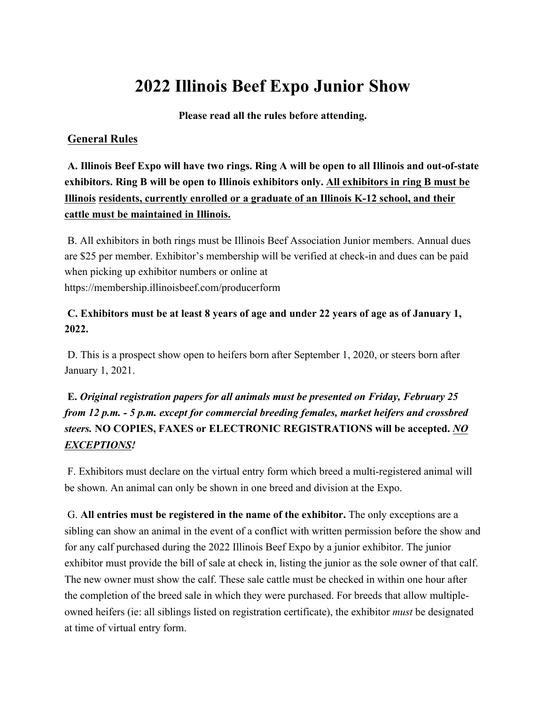# **2022 Illinois Beef Expo Junior Show**

**Please read all the rules before attending.**

## **General Rules**

**A. Illinois Beef Expo will have two rings. Ring A will be open to all Illinois and out-of-state exhibitors. Ring B will be open to Illinois exhibitors only. All exhibitors in ring B must be Illinois residents, currently enrolled or a graduate of an Illinois K-12 school, and their cattle must be maintained in Illinois.**

B. All exhibitors in both rings must be Illinois Beef Association Junior members. Annual dues are \$25 per member. Exhibitor's membership will be verified at check-in and dues can be paid when picking up exhibitor numbers or online at https://membership.illinoisbeef.com/producerform

## **C. Exhibitors must be at least 8 years of age and under 22 years of age as of January 1, 2022.**

D. This is a prospect show open to heifers born after September 1, 2020, or steers born after January 1, 2021.

## **E.** *Original registration papers for all animals must be presented on Friday, February 25 from 12 p.m. - 5 p.m. except for commercial breeding females, market heifers and crossbred steers.* **NO COPIES, FAXES or ELECTRONIC REGISTRATIONS will be accepted.** *NO EXCEPTIONS!*

F. Exhibitors must declare on the virtual entry form which breed a multi-registered animal will be shown. An animal can only be shown in one breed and division at the Expo.

G. **All entries must be registered in the name of the exhibitor.** The only exceptions are a sibling can show an animal in the event of a conflict with written permission before the show and for any calf purchased during the 2022 Illinois Beef Expo by a junior exhibitor. The junior exhibitor must provide the bill of sale at check in, listing the junior as the sole owner of that calf. The new owner must show the calf. These sale cattle must be checked in within one hour after the completion of the breed sale in which they were purchased. For breeds that allow multipleowned heifers (ie: all siblings listed on registration certificate), the exhibitor *must* be designated at time of virtual entry form.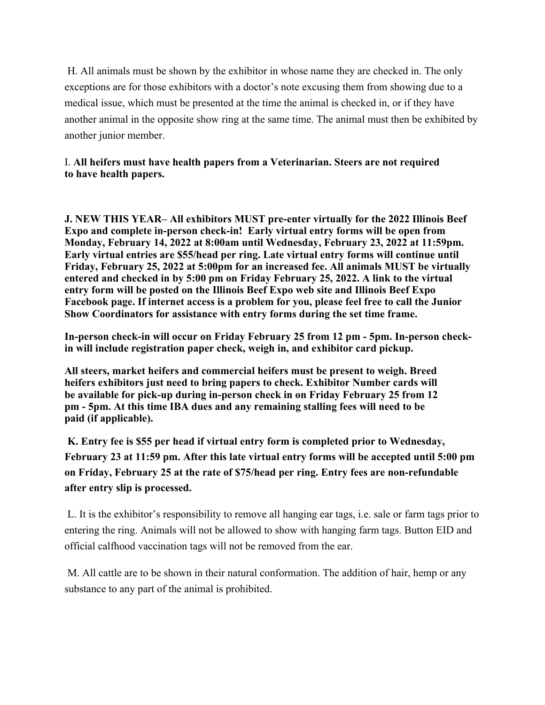H. All animals must be shown by the exhibitor in whose name they are checked in. The only exceptions are for those exhibitors with a doctor's note excusing them from showing due to a medical issue, which must be presented at the time the animal is checked in, or if they have another animal in the opposite show ring at the same time. The animal must then be exhibited by another junior member.

### I. **All heifers must have health papers from a Veterinarian. Steers are not required to have health papers.**

**J. NEW THIS YEAR– All exhibitors MUST pre-enter virtually for the 2022 Illinois Beef Expo and complete in-person check-in! Early virtual entry forms will be open from Monday, February 14, 2022 at 8:00am until Wednesday, February 23, 2022 at 11:59pm. Early virtual entries are \$55/head per ring. Late virtual entry forms will continue until Friday, February 25, 2022 at 5:00pm for an increased fee. All animals MUST be virtually entered and checked in by 5:00 pm on Friday February 25, 2022. A link to the virtual entry form will be posted on the Illinois Beef Expo web site and Illinois Beef Expo Facebook page. If internet access is a problem for you, please feel free to call the Junior Show Coordinators for assistance with entry forms during the set time frame.** 

**In-person check-in will occur on Friday February 25 from 12 pm - 5pm. In-person checkin will include registration paper check, weigh in, and exhibitor card pickup.**

**All steers, market heifers and commercial heifers must be present to weigh. Breed heifers exhibitors just need to bring papers to check. Exhibitor Number cards will be available for pick-up during in-person check in on Friday February 25 from 12 pm - 5pm. At this time IBA dues and any remaining stalling fees will need to be paid (if applicable).**

**K. Entry fee is \$55 per head if virtual entry form is completed prior to Wednesday, February 23 at 11:59 pm. After this late virtual entry forms will be accepted until 5:00 pm on Friday, February 25 at the rate of \$75/head per ring. Entry fees are non-refundable after entry slip is processed.**

L. It is the exhibitor's responsibility to remove all hanging ear tags, i.e. sale or farm tags prior to entering the ring. Animals will not be allowed to show with hanging farm tags. Button EID and official calfhood vaccination tags will not be removed from the ear.

M. All cattle are to be shown in their natural conformation. The addition of hair, hemp or any substance to any part of the animal is prohibited.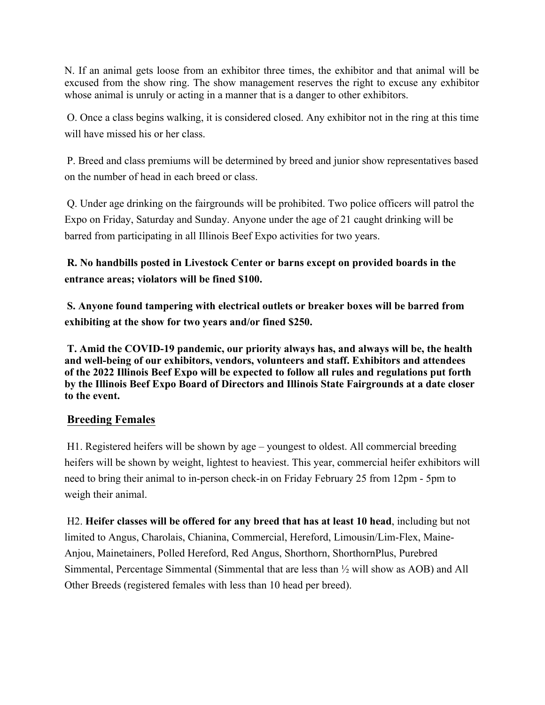N. If an animal gets loose from an exhibitor three times, the exhibitor and that animal will be excused from the show ring. The show management reserves the right to excuse any exhibitor whose animal is unruly or acting in a manner that is a danger to other exhibitors.

O. Once a class begins walking, it is considered closed. Any exhibitor not in the ring at this time will have missed his or her class.

P. Breed and class premiums will be determined by breed and junior show representatives based on the number of head in each breed or class.

Q. Under age drinking on the fairgrounds will be prohibited. Two police officers will patrol the Expo on Friday, Saturday and Sunday. Anyone under the age of 21 caught drinking will be barred from participating in all Illinois Beef Expo activities for two years.

**R. No handbills posted in Livestock Center or barns except on provided boards in the entrance areas; violators will be fined \$100.**

**S. Anyone found tampering with electrical outlets or breaker boxes will be barred from exhibiting at the show for two years and/or fined \$250.**

**T. Amid the COVID-19 pandemic, our priority always has, and always will be, the health and well-being of our exhibitors, vendors, volunteers and staff. Exhibitors and attendees of the 2022 Illinois Beef Expo will be expected to follow all rules and regulations put forth by the Illinois Beef Expo Board of Directors and Illinois State Fairgrounds at a date closer to the event.**

## **Breeding Females**

H1. Registered heifers will be shown by age – youngest to oldest. All commercial breeding heifers will be shown by weight, lightest to heaviest. This year, commercial heifer exhibitors will need to bring their animal to in-person check-in on Friday February 25 from 12pm - 5pm to weigh their animal.

H2. **Heifer classes will be offered for any breed that has at least 10 head**, including but not limited to Angus, Charolais, Chianina, Commercial, Hereford, Limousin/Lim-Flex, Maine-Anjou, Mainetainers, Polled Hereford, Red Angus, Shorthorn, ShorthornPlus, Purebred Simmental, Percentage Simmental (Simmental that are less than ½ will show as AOB) and All Other Breeds (registered females with less than 10 head per breed).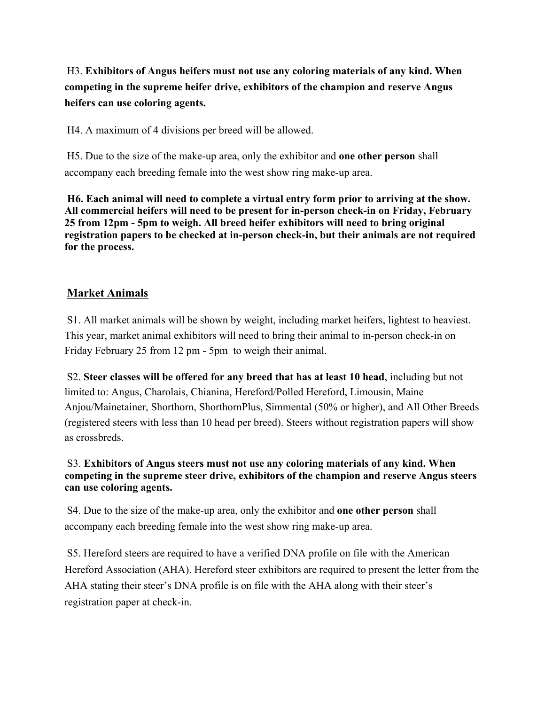H3. **Exhibitors of Angus heifers must not use any coloring materials of any kind. When competing in the supreme heifer drive, exhibitors of the champion and reserve Angus heifers can use coloring agents.**

H4. A maximum of 4 divisions per breed will be allowed.

H5. Due to the size of the make-up area, only the exhibitor and **one other person** shall accompany each breeding female into the west show ring make-up area.

**H6. Each animal will need to complete a virtual entry form prior to arriving at the show. All commercial heifers will need to be present for in-person check-in on Friday, February 25 from 12pm - 5pm to weigh. All breed heifer exhibitors will need to bring original registration papers to be checked at in-person check-in, but their animals are not required for the process.**

## **Market Animals**

S1. All market animals will be shown by weight, including market heifers, lightest to heaviest. This year, market animal exhibitors will need to bring their animal to in-person check-in on Friday February 25 from 12 pm - 5pm to weigh their animal.

S2. **Steer classes will be offered for any breed that has at least 10 head**, including but not limited to: Angus, Charolais, Chianina, Hereford/Polled Hereford, Limousin, Maine Anjou/Mainetainer, Shorthorn, ShorthornPlus, Simmental (50% or higher), and All Other Breeds (registered steers with less than 10 head per breed). Steers without registration papers will show as crossbreds.

#### S3. **Exhibitors of Angus steers must not use any coloring materials of any kind. When competing in the supreme steer drive, exhibitors of the champion and reserve Angus steers can use coloring agents.**

S4. Due to the size of the make-up area, only the exhibitor and **one other person** shall accompany each breeding female into the west show ring make-up area.

S5. Hereford steers are required to have a verified DNA profile on file with the American Hereford Association (AHA). Hereford steer exhibitors are required to present the letter from the AHA stating their steer's DNA profile is on file with the AHA along with their steer's registration paper at check-in.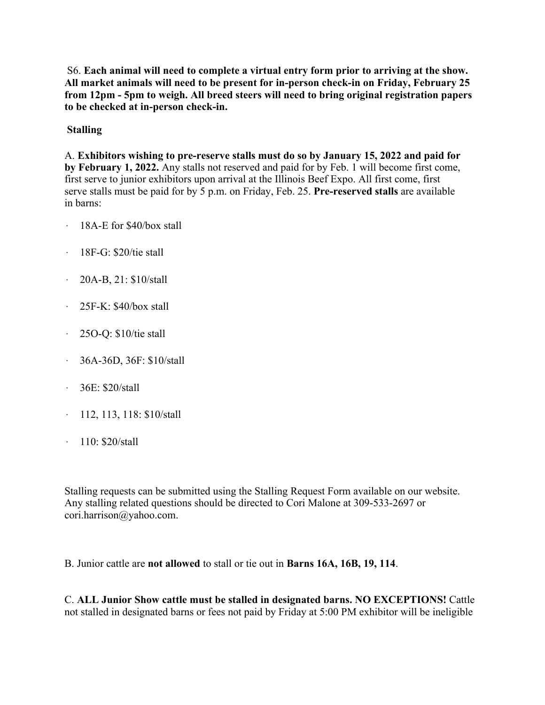S6. **Each animal will need to complete a virtual entry form prior to arriving at the show. All market animals will need to be present for in-person check-in on Friday, February 25 from 12pm - 5pm to weigh. All breed steers will need to bring original registration papers to be checked at in-person check-in.**

## **Stalling**

A. **Exhibitors wishing to pre-reserve stalls must do so by January 15, 2022 and paid for by February 1, 2022.** Any stalls not reserved and paid for by Feb. 1 will become first come, first serve to junior exhibitors upon arrival at the Illinois Beef Expo. All first come, first serve stalls must be paid for by 5 p.m. on Friday, Feb. 25. **Pre-reserved stalls** are available in barns:

- · 18A-E for \$40/box stall
- · 18F-G: \$20/tie stall
- · 20A-B, 21: \$10/stall
- · 25F-K: \$40/box stall
- · 25O-Q: \$10/tie stall
- · 36A-36D, 36F: \$10/stall
- · 36E: \$20/stall
- · 112, 113, 118: \$10/stall
- · 110: \$20/stall

Stalling requests can be submitted using the Stalling Request Form available on our website. Any stalling related questions should be directed to Cori Malone at 309-533-2697 or cori.harrison@yahoo.com.

B. Junior cattle are **not allowed** to stall or tie out in **Barns 16A, 16B, 19, 114**.

C. **ALL Junior Show cattle must be stalled in designated barns. NO EXCEPTIONS!** Cattle not stalled in designated barns or fees not paid by Friday at 5:00 PM exhibitor will be ineligible